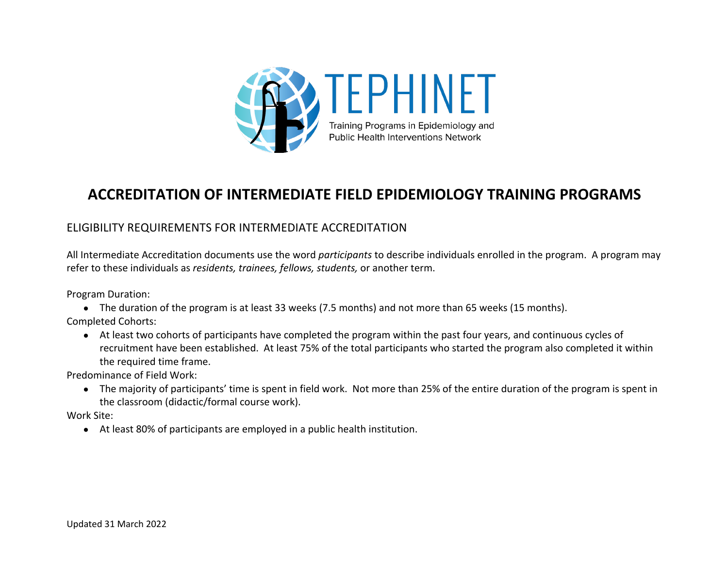

# **ACCREDITATION OF INTERMEDIATE FIELD EPIDEMIOLOGY TRAINING PROGRAMS**

## ELIGIBILITY REQUIREMENTS FOR INTERMEDIATE ACCREDITATION

All Intermediate Accreditation documents use the word *participants* to describe individuals enrolled in the program. A program may refer to these individuals as *residents, trainees, fellows, students,* or another term.

Program Duration:

● The duration of the program is at least 33 weeks (7.5 months) and not more than 65 weeks (15 months). Completed Cohorts:

● At least two cohorts of participants have completed the program within the past four years, and continuous cycles of recruitment have been established. At least 75% of the total participants who started the program also completed it within the required time frame.

Predominance of Field Work:

● The majority of participants' time is spent in field work. Not more than 25% of the entire duration of the program is spent in the classroom (didactic/formal course work).

Work Site:

● At least 80% of participants are employed in a public health institution.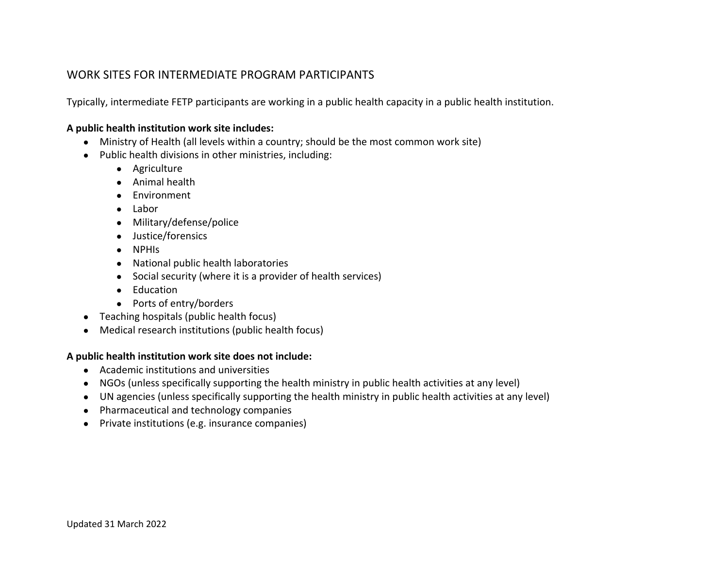### WORK SITES FOR INTERMEDIATE PROGRAM PARTICIPANTS

Typically, intermediate FETP participants are working in a public health capacity in a public health institution.

#### **A public health institution work site includes:**

- Ministry of Health (all levels within a country; should be the most common work site)
- Public health divisions in other ministries, including:
	- Agriculture
	- Animal health
	- Environment
	- Labor
	- Military/defense/police
	- Justice/forensics
	- NPHIs
	- National public health laboratories
	- Social security (where it is a provider of health services)
	- Education
	- Ports of entry/borders
- Teaching hospitals (public health focus)
- Medical research institutions (public health focus)

#### **A public health institution work site does not include:**

- Academic institutions and universities
- NGOs (unless specifically supporting the health ministry in public health activities at any level)
- UN agencies (unless specifically supporting the health ministry in public health activities at any level)
- Pharmaceutical and technology companies
- Private institutions (e.g. insurance companies)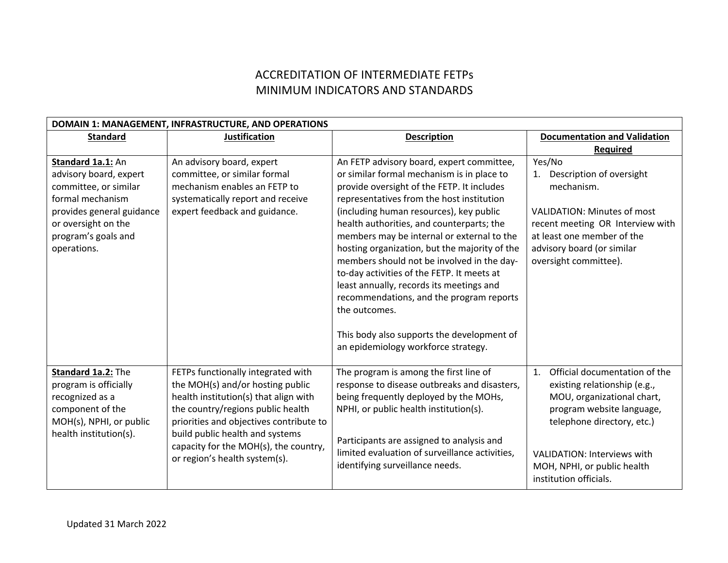# ACCREDITATION OF INTERMEDIATE FETPs MINIMUM INDICATORS AND STANDARDS

| DOMAIN 1: MANAGEMENT, INFRASTRUCTURE, AND OPERATIONS                                                                                                                               |                                                                                                                                                                                                                                                                                                              |                                                                                                                                                                                                                                                                                                                                                                                                                                                                                                                                                                                                                                                                     |                                                                                                                                                                                                                                                             |
|------------------------------------------------------------------------------------------------------------------------------------------------------------------------------------|--------------------------------------------------------------------------------------------------------------------------------------------------------------------------------------------------------------------------------------------------------------------------------------------------------------|---------------------------------------------------------------------------------------------------------------------------------------------------------------------------------------------------------------------------------------------------------------------------------------------------------------------------------------------------------------------------------------------------------------------------------------------------------------------------------------------------------------------------------------------------------------------------------------------------------------------------------------------------------------------|-------------------------------------------------------------------------------------------------------------------------------------------------------------------------------------------------------------------------------------------------------------|
| <b>Standard</b>                                                                                                                                                                    | <b>Justification</b>                                                                                                                                                                                                                                                                                         | <b>Description</b>                                                                                                                                                                                                                                                                                                                                                                                                                                                                                                                                                                                                                                                  | <b>Documentation and Validation</b>                                                                                                                                                                                                                         |
|                                                                                                                                                                                    |                                                                                                                                                                                                                                                                                                              |                                                                                                                                                                                                                                                                                                                                                                                                                                                                                                                                                                                                                                                                     | <b>Required</b>                                                                                                                                                                                                                                             |
| Standard 1a.1: An<br>advisory board, expert<br>committee, or similar<br>formal mechanism<br>provides general guidance<br>or oversight on the<br>program's goals and<br>operations. | An advisory board, expert<br>committee, or similar formal<br>mechanism enables an FETP to<br>systematically report and receive<br>expert feedback and guidance.                                                                                                                                              | An FETP advisory board, expert committee,<br>or similar formal mechanism is in place to<br>provide oversight of the FETP. It includes<br>representatives from the host institution<br>(including human resources), key public<br>health authorities, and counterparts; the<br>members may be internal or external to the<br>hosting organization, but the majority of the<br>members should not be involved in the day-<br>to-day activities of the FETP. It meets at<br>least annually, records its meetings and<br>recommendations, and the program reports<br>the outcomes.<br>This body also supports the development of<br>an epidemiology workforce strategy. | Yes/No<br>Description of oversight<br>1.<br>mechanism.<br><b>VALIDATION: Minutes of most</b><br>recent meeting OR Interview with<br>at least one member of the<br>advisory board (or similar<br>oversight committee).                                       |
| Standard 1a.2: The<br>program is officially<br>recognized as a<br>component of the<br>MOH(s), NPHI, or public<br>health institution(s).                                            | FETPs functionally integrated with<br>the MOH(s) and/or hosting public<br>health institution(s) that align with<br>the country/regions public health<br>priorities and objectives contribute to<br>build public health and systems<br>capacity for the MOH(s), the country,<br>or region's health system(s). | The program is among the first line of<br>response to disease outbreaks and disasters,<br>being frequently deployed by the MOHs,<br>NPHI, or public health institution(s).<br>Participants are assigned to analysis and<br>limited evaluation of surveillance activities,<br>identifying surveillance needs.                                                                                                                                                                                                                                                                                                                                                        | Official documentation of the<br>1.<br>existing relationship (e.g.,<br>MOU, organizational chart,<br>program website language,<br>telephone directory, etc.)<br><b>VALIDATION: Interviews with</b><br>MOH, NPHI, or public health<br>institution officials. |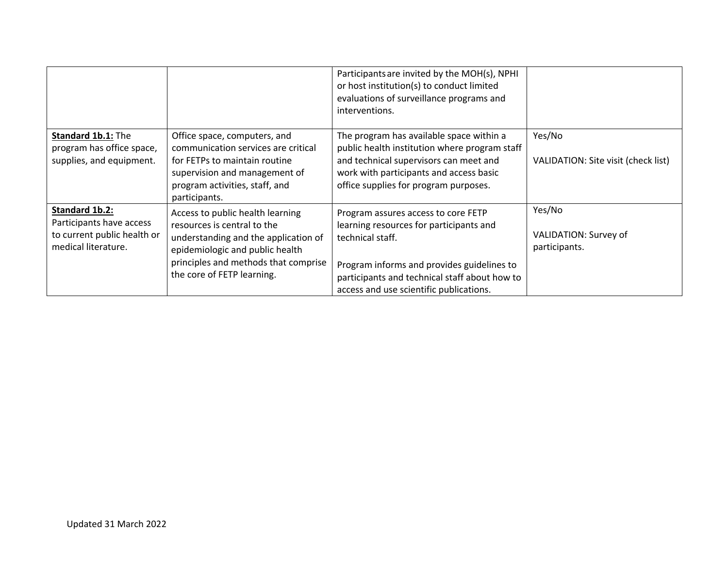|                                                                                                         |                                                                                                                                                                                                                  | Participants are invited by the MOH(s), NPHI<br>or host institution(s) to conduct limited<br>evaluations of surveillance programs and<br>interventions.                                                                                      |                                                  |
|---------------------------------------------------------------------------------------------------------|------------------------------------------------------------------------------------------------------------------------------------------------------------------------------------------------------------------|----------------------------------------------------------------------------------------------------------------------------------------------------------------------------------------------------------------------------------------------|--------------------------------------------------|
| Standard 1b.1: The<br>program has office space,<br>supplies, and equipment.                             | Office space, computers, and<br>communication services are critical<br>for FETPs to maintain routine<br>supervision and management of<br>program activities, staff, and<br>participants.                         | The program has available space within a<br>public health institution where program staff<br>and technical supervisors can meet and<br>work with participants and access basic<br>office supplies for program purposes.                      | Yes/No<br>VALIDATION: Site visit (check list)    |
| <b>Standard 1b.2:</b><br>Participants have access<br>to current public health or<br>medical literature. | Access to public health learning<br>resources is central to the<br>understanding and the application of<br>epidemiologic and public health<br>principles and methods that comprise<br>the core of FETP learning. | Program assures access to core FETP<br>learning resources for participants and<br>technical staff.<br>Program informs and provides guidelines to<br>participants and technical staff about how to<br>access and use scientific publications. | Yes/No<br>VALIDATION: Survey of<br>participants. |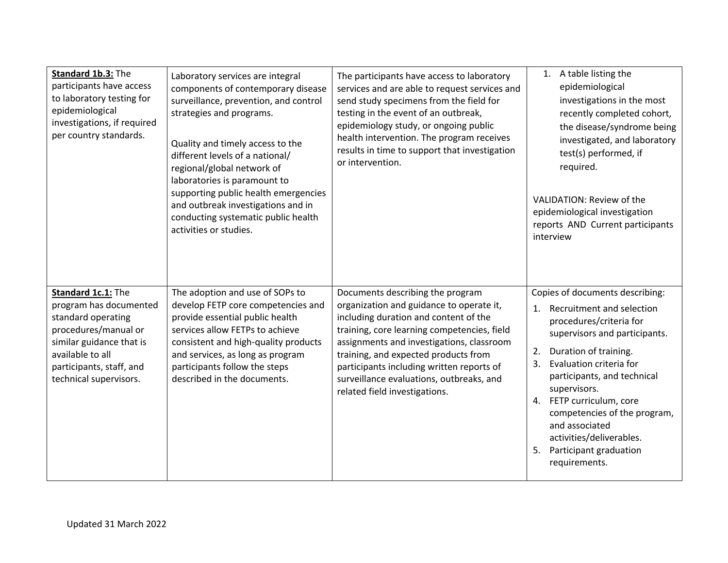| Standard 1b.3: The<br>participants have access<br>to laboratory testing for<br>epidemiological<br>investigations, if required<br>per country standards.                                          | Laboratory services are integral<br>components of contemporary disease<br>surveillance, prevention, and control<br>strategies and programs.<br>Quality and timely access to the<br>different levels of a national/<br>regional/global network of<br>laboratories is paramount to<br>supporting public health emergencies<br>and outbreak investigations and in<br>conducting systematic public health<br>activities or studies. | The participants have access to laboratory<br>services and are able to request services and<br>send study specimens from the field for<br>testing in the event of an outbreak,<br>epidemiology study, or ongoing public<br>health intervention. The program receives<br>results in time to support that investigation<br>or intervention.                                           | 1. A table listing the<br>epidemiological<br>investigations in the most<br>recently completed cohort,<br>the disease/syndrome being<br>investigated, and laboratory<br>test(s) performed, if<br>required.<br>VALIDATION: Review of the<br>epidemiological investigation<br>reports AND Current participants<br>interview                                                                           |
|--------------------------------------------------------------------------------------------------------------------------------------------------------------------------------------------------|---------------------------------------------------------------------------------------------------------------------------------------------------------------------------------------------------------------------------------------------------------------------------------------------------------------------------------------------------------------------------------------------------------------------------------|-------------------------------------------------------------------------------------------------------------------------------------------------------------------------------------------------------------------------------------------------------------------------------------------------------------------------------------------------------------------------------------|----------------------------------------------------------------------------------------------------------------------------------------------------------------------------------------------------------------------------------------------------------------------------------------------------------------------------------------------------------------------------------------------------|
| Standard 1c.1: The<br>program has documented<br>standard operating<br>procedures/manual or<br>similar guidance that is<br>available to all<br>participants, staff, and<br>technical supervisors. | The adoption and use of SOPs to<br>develop FETP core competencies and<br>provide essential public health<br>services allow FETPs to achieve<br>consistent and high-quality products<br>and services, as long as program<br>participants follow the steps<br>described in the documents.                                                                                                                                         | Documents describing the program<br>organization and guidance to operate it,<br>including duration and content of the<br>training, core learning competencies, field<br>assignments and investigations, classroom<br>training, and expected products from<br>participants including written reports of<br>surveillance evaluations, outbreaks, and<br>related field investigations. | Copies of documents describing:<br>1. Recruitment and selection<br>procedures/criteria for<br>supervisors and participants.<br>Duration of training.<br>2.<br>Evaluation criteria for<br>3.<br>participants, and technical<br>supervisors.<br>4. FETP curriculum, core<br>competencies of the program,<br>and associated<br>activities/deliverables.<br>5. Participant graduation<br>requirements. |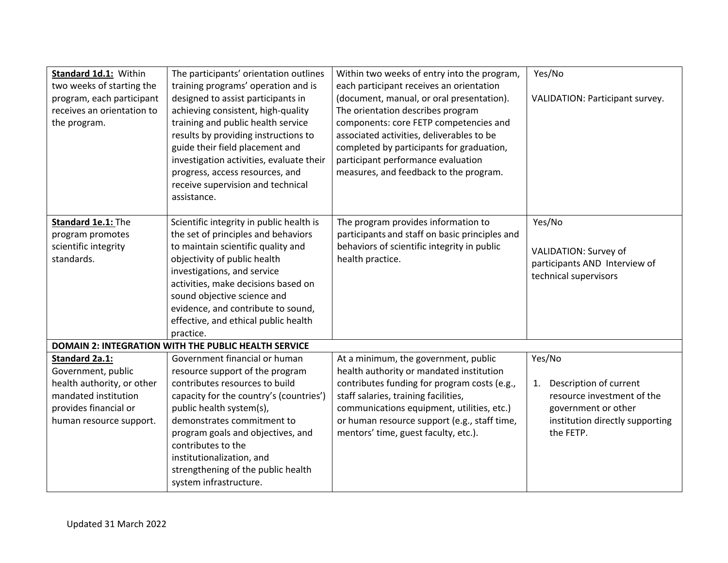| Standard 1d.1: Within<br>two weeks of starting the<br>program, each participant<br>receives an orientation to<br>the program.                         | The participants' orientation outlines<br>training programs' operation and is<br>designed to assist participants in<br>achieving consistent, high-quality<br>training and public health service<br>results by providing instructions to<br>guide their field placement and<br>investigation activities, evaluate their<br>progress, access resources, and<br>receive supervision and technical<br>assistance. | Within two weeks of entry into the program,<br>each participant receives an orientation<br>(document, manual, or oral presentation).<br>The orientation describes program<br>components: core FETP competencies and<br>associated activities, deliverables to be<br>completed by participants for graduation,<br>participant performance evaluation<br>measures, and feedback to the program. | Yes/No<br>VALIDATION: Participant survey.                                                                                                   |
|-------------------------------------------------------------------------------------------------------------------------------------------------------|---------------------------------------------------------------------------------------------------------------------------------------------------------------------------------------------------------------------------------------------------------------------------------------------------------------------------------------------------------------------------------------------------------------|-----------------------------------------------------------------------------------------------------------------------------------------------------------------------------------------------------------------------------------------------------------------------------------------------------------------------------------------------------------------------------------------------|---------------------------------------------------------------------------------------------------------------------------------------------|
| Standard 1e.1: The<br>program promotes<br>scientific integrity<br>standards.                                                                          | Scientific integrity in public health is<br>the set of principles and behaviors<br>to maintain scientific quality and<br>objectivity of public health<br>investigations, and service<br>activities, make decisions based on<br>sound objective science and<br>evidence, and contribute to sound,<br>effective, and ethical public health<br>practice.                                                         | The program provides information to<br>participants and staff on basic principles and<br>behaviors of scientific integrity in public<br>health practice.                                                                                                                                                                                                                                      | Yes/No<br>VALIDATION: Survey of<br>participants AND Interview of<br>technical supervisors                                                   |
|                                                                                                                                                       | <b>DOMAIN 2: INTEGRATION WITH THE PUBLIC HEALTH SERVICE</b>                                                                                                                                                                                                                                                                                                                                                   |                                                                                                                                                                                                                                                                                                                                                                                               |                                                                                                                                             |
| <b>Standard 2a.1:</b><br>Government, public<br>health authority, or other<br>mandated institution<br>provides financial or<br>human resource support. | Government financial or human<br>resource support of the program<br>contributes resources to build<br>capacity for the country's (countries')<br>public health system(s),<br>demonstrates commitment to<br>program goals and objectives, and<br>contributes to the<br>institutionalization, and<br>strengthening of the public health<br>system infrastructure.                                               | At a minimum, the government, public<br>health authority or mandated institution<br>contributes funding for program costs (e.g.,<br>staff salaries, training facilities,<br>communications equipment, utilities, etc.)<br>or human resource support (e.g., staff time,<br>mentors' time, guest faculty, etc.).                                                                                | Yes/No<br>Description of current<br>1.<br>resource investment of the<br>government or other<br>institution directly supporting<br>the FETP. |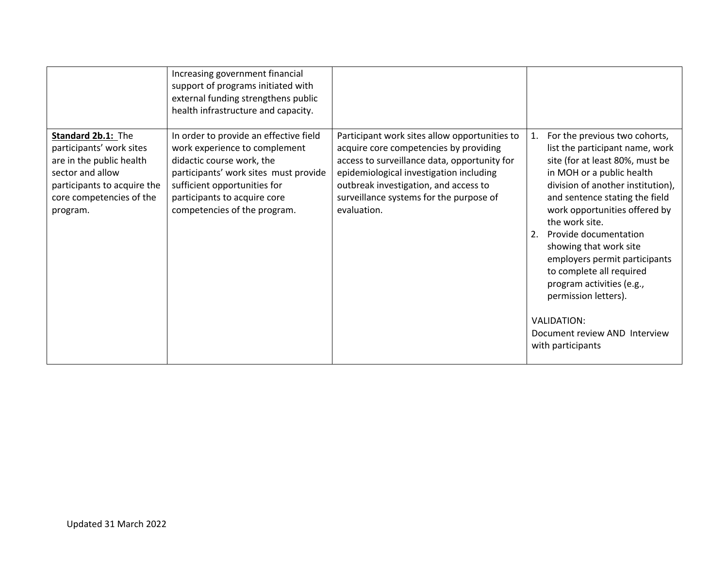|                                                                                                                                                                       | Increasing government financial<br>support of programs initiated with<br>external funding strengthens public<br>health infrastructure and capacity.                                                                                           |                                                                                                                                                                                                                                                                                       |                                                                                                                                                                                                                                                                                                                                                                                                                                                                                                                         |
|-----------------------------------------------------------------------------------------------------------------------------------------------------------------------|-----------------------------------------------------------------------------------------------------------------------------------------------------------------------------------------------------------------------------------------------|---------------------------------------------------------------------------------------------------------------------------------------------------------------------------------------------------------------------------------------------------------------------------------------|-------------------------------------------------------------------------------------------------------------------------------------------------------------------------------------------------------------------------------------------------------------------------------------------------------------------------------------------------------------------------------------------------------------------------------------------------------------------------------------------------------------------------|
| Standard 2b.1: The<br>participants' work sites<br>are in the public health<br>sector and allow<br>participants to acquire the<br>core competencies of the<br>program. | In order to provide an effective field<br>work experience to complement<br>didactic course work, the<br>participants' work sites must provide<br>sufficient opportunities for<br>participants to acquire core<br>competencies of the program. | Participant work sites allow opportunities to<br>acquire core competencies by providing<br>access to surveillance data, opportunity for<br>epidemiological investigation including<br>outbreak investigation, and access to<br>surveillance systems for the purpose of<br>evaluation. | For the previous two cohorts,<br>1.<br>list the participant name, work<br>site (for at least 80%, must be<br>in MOH or a public health<br>division of another institution),<br>and sentence stating the field<br>work opportunities offered by<br>the work site.<br>Provide documentation<br>2.<br>showing that work site<br>employers permit participants<br>to complete all required<br>program activities (e.g.,<br>permission letters).<br><b>VALIDATION:</b><br>Document review AND Interview<br>with participants |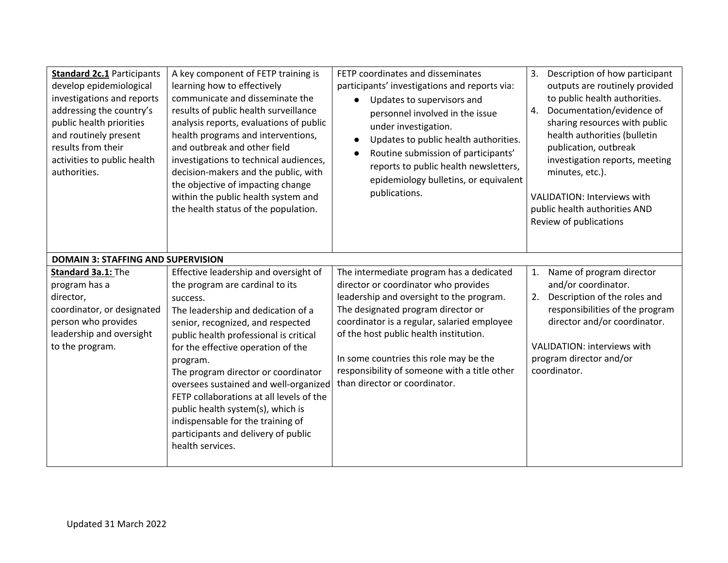| <b>Standard 2c.1 Participants</b><br>develop epidemiological<br>investigations and reports<br>addressing the country's<br>public health priorities<br>and routinely present<br>results from their<br>activities to public health<br>authorities.<br><b>DOMAIN 3: STAFFING AND SUPERVISION</b> | A key component of FETP training is<br>learning how to effectively<br>communicate and disseminate the<br>results of public health surveillance<br>analysis reports, evaluations of public<br>health programs and interventions,<br>and outbreak and other field<br>investigations to technical audiences,<br>decision-makers and the public, with<br>the objective of impacting change<br>within the public health system and<br>the health status of the population.                                                        | FETP coordinates and disseminates<br>participants' investigations and reports via:<br>Updates to supervisors and<br>$\bullet$<br>personnel involved in the issue<br>under investigation.<br>Updates to public health authorities.<br>$\bullet$<br>Routine submission of participants'<br>$\bullet$<br>reports to public health newsletters,<br>epidemiology bulletins, or equivalent<br>publications. | Description of how participant<br>3.<br>outputs are routinely provided<br>to public health authorities.<br>Documentation/evidence of<br>4.<br>sharing resources with public<br>health authorities (bulletin<br>publication, outbreak<br>investigation reports, meeting<br>minutes, etc.).<br><b>VALIDATION: Interviews with</b><br>public health authorities AND<br>Review of publications |
|-----------------------------------------------------------------------------------------------------------------------------------------------------------------------------------------------------------------------------------------------------------------------------------------------|------------------------------------------------------------------------------------------------------------------------------------------------------------------------------------------------------------------------------------------------------------------------------------------------------------------------------------------------------------------------------------------------------------------------------------------------------------------------------------------------------------------------------|-------------------------------------------------------------------------------------------------------------------------------------------------------------------------------------------------------------------------------------------------------------------------------------------------------------------------------------------------------------------------------------------------------|--------------------------------------------------------------------------------------------------------------------------------------------------------------------------------------------------------------------------------------------------------------------------------------------------------------------------------------------------------------------------------------------|
| Standard 3a.1: The<br>program has a<br>director,<br>coordinator, or designated<br>person who provides<br>leadership and oversight<br>to the program.                                                                                                                                          | Effective leadership and oversight of<br>the program are cardinal to its<br>success.<br>The leadership and dedication of a<br>senior, recognized, and respected<br>public health professional is critical<br>for the effective operation of the<br>program.<br>The program director or coordinator<br>oversees sustained and well-organized<br>FETP collaborations at all levels of the<br>public health system(s), which is<br>indispensable for the training of<br>participants and delivery of public<br>health services. | The intermediate program has a dedicated<br>director or coordinator who provides<br>leadership and oversight to the program.<br>The designated program director or<br>coordinator is a regular, salaried employee<br>of the host public health institution.<br>In some countries this role may be the<br>responsibility of someone with a title other<br>than director or coordinator.                | Name of program director<br>1.<br>and/or coordinator.<br>Description of the roles and<br>2.<br>responsibilities of the program<br>director and/or coordinator.<br>VALIDATION: interviews with<br>program director and/or<br>coordinator.                                                                                                                                                   |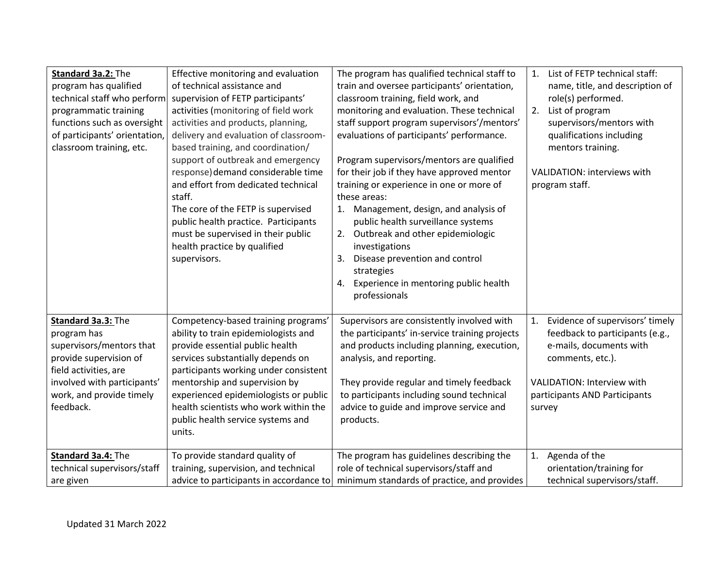| Standard 3a.2: The<br>program has qualified<br>technical staff who perform<br>programmatic training<br>functions such as oversight<br>of participants' orientation,<br>classroom training, etc. | Effective monitoring and evaluation<br>of technical assistance and<br>supervision of FETP participants'<br>activities (monitoring of field work<br>activities and products, planning,<br>delivery and evaluation of classroom-<br>based training, and coordination/<br>support of outbreak and emergency<br>response) demand considerable time<br>and effort from dedicated technical<br>staff.<br>The core of the FETP is supervised<br>public health practice. Participants<br>must be supervised in their public<br>health practice by qualified<br>supervisors. | The program has qualified technical staff to<br>train and oversee participants' orientation,<br>classroom training, field work, and<br>monitoring and evaluation. These technical<br>staff support program supervisors'/mentors'<br>evaluations of participants' performance.<br>Program supervisors/mentors are qualified<br>for their job if they have approved mentor<br>training or experience in one or more of<br>these areas:<br>1. Management, design, and analysis of<br>public health surveillance systems<br>2. Outbreak and other epidemiologic<br>investigations<br>Disease prevention and control<br>3.<br>strategies<br>Experience in mentoring public health<br>4.<br>professionals | List of FETP technical staff:<br>1.<br>name, title, and description of<br>role(s) performed.<br>List of program<br>2.<br>supervisors/mentors with<br>qualifications including<br>mentors training.<br>VALIDATION: interviews with<br>program staff. |
|-------------------------------------------------------------------------------------------------------------------------------------------------------------------------------------------------|---------------------------------------------------------------------------------------------------------------------------------------------------------------------------------------------------------------------------------------------------------------------------------------------------------------------------------------------------------------------------------------------------------------------------------------------------------------------------------------------------------------------------------------------------------------------|-----------------------------------------------------------------------------------------------------------------------------------------------------------------------------------------------------------------------------------------------------------------------------------------------------------------------------------------------------------------------------------------------------------------------------------------------------------------------------------------------------------------------------------------------------------------------------------------------------------------------------------------------------------------------------------------------------|-----------------------------------------------------------------------------------------------------------------------------------------------------------------------------------------------------------------------------------------------------|
| Standard 3a.3: The<br>program has<br>supervisors/mentors that<br>provide supervision of<br>field activities, are<br>involved with participants'<br>work, and provide timely<br>feedback.        | Competency-based training programs'<br>ability to train epidemiologists and<br>provide essential public health<br>services substantially depends on<br>participants working under consistent<br>mentorship and supervision by<br>experienced epidemiologists or public<br>health scientists who work within the<br>public health service systems and<br>units.                                                                                                                                                                                                      | Supervisors are consistently involved with<br>the participants' in-service training projects<br>and products including planning, execution,<br>analysis, and reporting.<br>They provide regular and timely feedback<br>to participants including sound technical<br>advice to guide and improve service and<br>products.                                                                                                                                                                                                                                                                                                                                                                            | Evidence of supervisors' timely<br>1.<br>feedback to participants (e.g.,<br>e-mails, documents with<br>comments, etc.).<br>VALIDATION: Interview with<br>participants AND Participants<br>survey                                                    |
| Standard 3a.4: The<br>technical supervisors/staff<br>are given                                                                                                                                  | To provide standard quality of<br>training, supervision, and technical<br>advice to participants in accordance to                                                                                                                                                                                                                                                                                                                                                                                                                                                   | The program has guidelines describing the<br>role of technical supervisors/staff and<br>minimum standards of practice, and provides                                                                                                                                                                                                                                                                                                                                                                                                                                                                                                                                                                 | Agenda of the<br>1.<br>orientation/training for<br>technical supervisors/staff.                                                                                                                                                                     |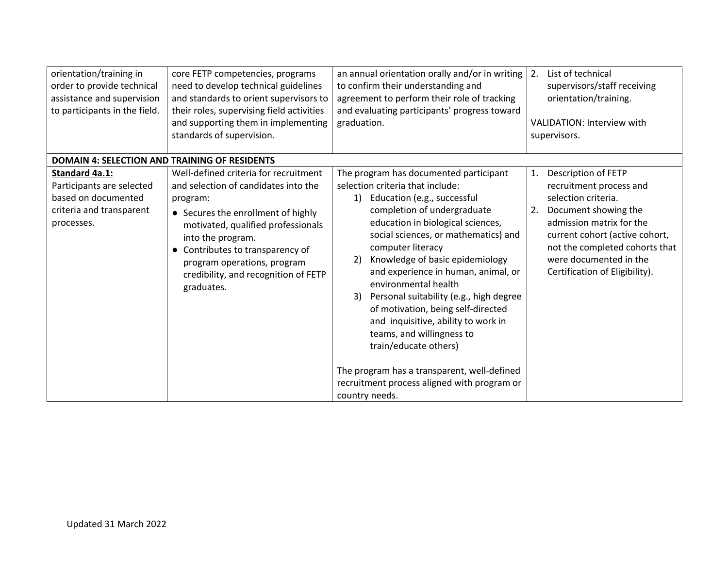| orientation/training in<br>order to provide technical<br>assistance and supervision<br>to participants in the field.<br><b>DOMAIN 4: SELECTION AND TRAINING OF RESIDENTS</b> | core FETP competencies, programs<br>need to develop technical guidelines<br>and standards to orient supervisors to<br>their roles, supervising field activities<br>and supporting them in implementing<br>standards of supervision.                                                                               | an annual orientation orally and/or in writing<br>to confirm their understanding and<br>agreement to perform their role of tracking<br>and evaluating participants' progress toward<br>graduation.                                                                                                                                                                                                                                                                                                                                                                                                                                                        | List of technical<br>2.<br>supervisors/staff receiving<br>orientation/training.<br><b>VALIDATION: Interview with</b><br>supervisors.                                                                                                                                  |
|------------------------------------------------------------------------------------------------------------------------------------------------------------------------------|-------------------------------------------------------------------------------------------------------------------------------------------------------------------------------------------------------------------------------------------------------------------------------------------------------------------|-----------------------------------------------------------------------------------------------------------------------------------------------------------------------------------------------------------------------------------------------------------------------------------------------------------------------------------------------------------------------------------------------------------------------------------------------------------------------------------------------------------------------------------------------------------------------------------------------------------------------------------------------------------|-----------------------------------------------------------------------------------------------------------------------------------------------------------------------------------------------------------------------------------------------------------------------|
| <b>Standard 4a.1:</b><br>Participants are selected<br>based on documented<br>criteria and transparent<br>processes.                                                          | Well-defined criteria for recruitment<br>and selection of candidates into the<br>program:<br>• Secures the enrollment of highly<br>motivated, qualified professionals<br>into the program.<br>Contributes to transparency of<br>program operations, program<br>credibility, and recognition of FETP<br>graduates. | The program has documented participant<br>selection criteria that include:<br>1) Education (e.g., successful<br>completion of undergraduate<br>education in biological sciences,<br>social sciences, or mathematics) and<br>computer literacy<br>Knowledge of basic epidemiology<br>2)<br>and experience in human, animal, or<br>environmental health<br>Personal suitability (e.g., high degree<br>3)<br>of motivation, being self-directed<br>and inquisitive, ability to work in<br>teams, and willingness to<br>train/educate others)<br>The program has a transparent, well-defined<br>recruitment process aligned with program or<br>country needs. | Description of FETP<br>1.<br>recruitment process and<br>selection criteria.<br>Document showing the<br>2.<br>admission matrix for the<br>current cohort (active cohort,<br>not the completed cohorts that<br>were documented in the<br>Certification of Eligibility). |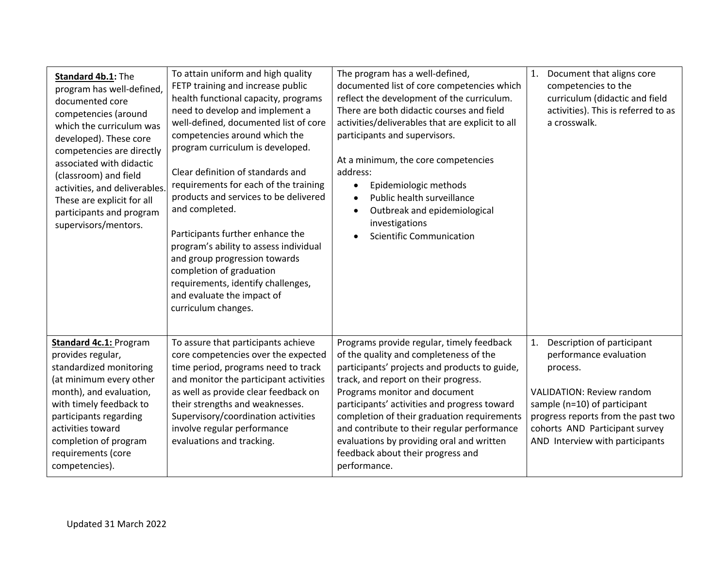| Standard 4b.1: The<br>program has well-defined,<br>documented core<br>competencies (around<br>which the curriculum was<br>developed). These core<br>competencies are directly<br>associated with didactic<br>(classroom) and field<br>activities, and deliverables.<br>These are explicit for all<br>participants and program<br>supervisors/mentors. | To attain uniform and high quality<br>FETP training and increase public<br>health functional capacity, programs<br>need to develop and implement a<br>well-defined, documented list of core<br>competencies around which the<br>program curriculum is developed.<br>Clear definition of standards and<br>requirements for each of the training<br>products and services to be delivered<br>and completed.<br>Participants further enhance the<br>program's ability to assess individual<br>and group progression towards<br>completion of graduation<br>requirements, identify challenges,<br>and evaluate the impact of<br>curriculum changes. | The program has a well-defined,<br>documented list of core competencies which<br>reflect the development of the curriculum.<br>There are both didactic courses and field<br>activities/deliverables that are explicit to all<br>participants and supervisors.<br>At a minimum, the core competencies<br>address:<br>Epidemiologic methods<br>$\bullet$<br>Public health surveillance<br>Outbreak and epidemiological<br>investigations<br><b>Scientific Communication</b> | Document that aligns core<br>1.<br>competencies to the<br>curriculum (didactic and field<br>activities). This is referred to as<br>a crosswalk.                                                                                                       |
|-------------------------------------------------------------------------------------------------------------------------------------------------------------------------------------------------------------------------------------------------------------------------------------------------------------------------------------------------------|-------------------------------------------------------------------------------------------------------------------------------------------------------------------------------------------------------------------------------------------------------------------------------------------------------------------------------------------------------------------------------------------------------------------------------------------------------------------------------------------------------------------------------------------------------------------------------------------------------------------------------------------------|---------------------------------------------------------------------------------------------------------------------------------------------------------------------------------------------------------------------------------------------------------------------------------------------------------------------------------------------------------------------------------------------------------------------------------------------------------------------------|-------------------------------------------------------------------------------------------------------------------------------------------------------------------------------------------------------------------------------------------------------|
| <b>Standard 4c.1: Program</b><br>provides regular,<br>standardized monitoring<br>(at minimum every other<br>month), and evaluation,<br>with timely feedback to<br>participants regarding<br>activities toward<br>completion of program<br>requirements (core<br>competencies).                                                                        | To assure that participants achieve<br>core competencies over the expected<br>time period, programs need to track<br>and monitor the participant activities<br>as well as provide clear feedback on<br>their strengths and weaknesses.<br>Supervisory/coordination activities<br>involve regular performance<br>evaluations and tracking.                                                                                                                                                                                                                                                                                                       | Programs provide regular, timely feedback<br>of the quality and completeness of the<br>participants' projects and products to guide,<br>track, and report on their progress.<br>Programs monitor and document<br>participants' activities and progress toward<br>completion of their graduation requirements<br>and contribute to their regular performance<br>evaluations by providing oral and written<br>feedback about their progress and<br>performance.             | Description of participant<br>1.<br>performance evaluation<br>process.<br><b>VALIDATION: Review random</b><br>sample (n=10) of participant<br>progress reports from the past two<br>cohorts AND Participant survey<br>AND Interview with participants |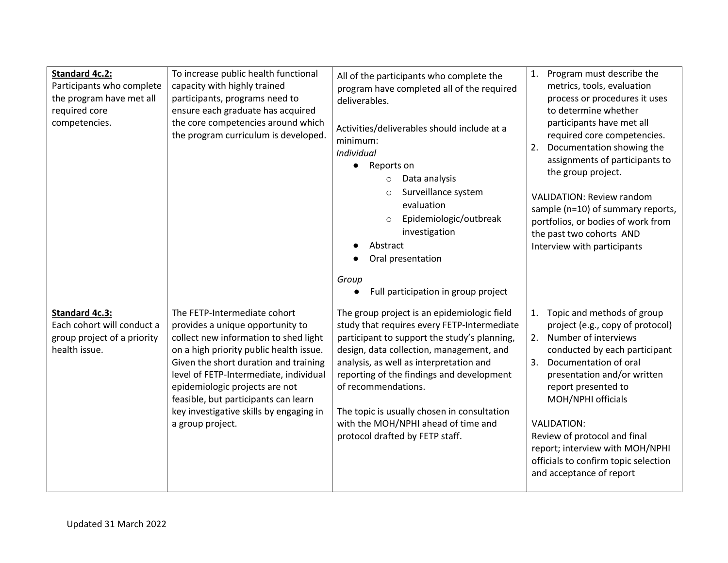| <b>Standard 4c.2:</b><br>Participants who complete<br>the program have met all<br>required core<br>competencies. | To increase public health functional<br>capacity with highly trained<br>participants, programs need to<br>ensure each graduate has acquired<br>the core competencies around which<br>the program curriculum is developed.                                                                                                                                                        | All of the participants who complete the<br>program have completed all of the required<br>deliverables.<br>Activities/deliverables should include at a<br>minimum:<br>Individual<br>• Reports on<br>Data analysis<br>$\circ$<br>Surveillance system<br>evaluation<br>Epidemiologic/outbreak<br>$\circ$<br>investigation<br>Abstract<br>Oral presentation<br>Group<br>Full participation in group project                       | Program must describe the<br>1.<br>metrics, tools, evaluation<br>process or procedures it uses<br>to determine whether<br>participants have met all<br>required core competencies.<br>2.<br>Documentation showing the<br>assignments of participants to<br>the group project.<br><b>VALIDATION: Review random</b><br>sample (n=10) of summary reports,<br>portfolios, or bodies of work from<br>the past two cohorts AND<br>Interview with participants |
|------------------------------------------------------------------------------------------------------------------|----------------------------------------------------------------------------------------------------------------------------------------------------------------------------------------------------------------------------------------------------------------------------------------------------------------------------------------------------------------------------------|--------------------------------------------------------------------------------------------------------------------------------------------------------------------------------------------------------------------------------------------------------------------------------------------------------------------------------------------------------------------------------------------------------------------------------|---------------------------------------------------------------------------------------------------------------------------------------------------------------------------------------------------------------------------------------------------------------------------------------------------------------------------------------------------------------------------------------------------------------------------------------------------------|
| <b>Standard 4c.3:</b><br>Each cohort will conduct a<br>group project of a priority<br>health issue.              | The FETP-Intermediate cohort<br>provides a unique opportunity to<br>collect new information to shed light<br>on a high priority public health issue.<br>Given the short duration and training<br>level of FETP-Intermediate, individual<br>epidemiologic projects are not<br>feasible, but participants can learn<br>key investigative skills by engaging in<br>a group project. | The group project is an epidemiologic field<br>study that requires every FETP-Intermediate<br>participant to support the study's planning,<br>design, data collection, management, and<br>analysis, as well as interpretation and<br>reporting of the findings and development<br>of recommendations.<br>The topic is usually chosen in consultation<br>with the MOH/NPHI ahead of time and<br>protocol drafted by FETP staff. | Topic and methods of group<br>1.<br>project (e.g., copy of protocol)<br>2. Number of interviews<br>conducted by each participant<br>3.<br>Documentation of oral<br>presentation and/or written<br>report presented to<br>MOH/NPHI officials<br><b>VALIDATION:</b><br>Review of protocol and final<br>report; interview with MOH/NPHI<br>officials to confirm topic selection<br>and acceptance of report                                                |